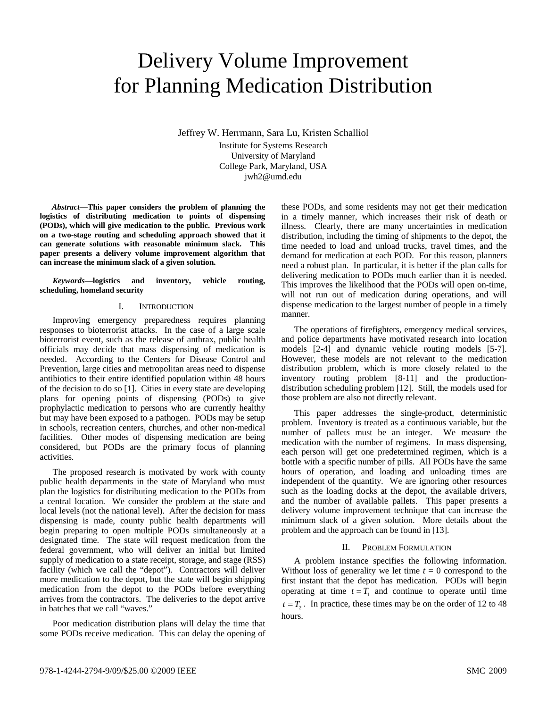# Delivery Volume Improvement for Planning Medication Distribution

Jeffrey W. Herrmann, Sara Lu, Kristen Schalliol

Institute for Systems Research University of Maryland College Park, Maryland, USA jwh2@umd.edu

*Abstract***—This paper considers the problem of planning the logistics of distributing medication to points of dispensing (PODs), which will give medication to the public. Previous work on a two-stage routing and scheduling approach showed that it can generate solutions with reasonable minimum slack. This paper presents a delivery volume improvement algorithm that can increase the minimum slack of a given solution.** 

*Keywords—***logistics and inventory, vehicle routing, scheduling, homeland security**

#### I. INTRODUCTION

Improving emergency preparedness requires planning responses to bioterrorist attacks. In the case of a large scale bioterrorist event, such as the release of anthrax, public health officials may decide that mass dispensing of medication is needed. According to the Centers for Disease Control and Prevention, large cities and metropolitan areas need to dispense antibiotics to their entire identified population within 48 hours of the decision to do so [1]. Cities in every state are developing plans for opening points of dispensing (PODs) to give prophylactic medication to persons who are currently healthy but may have been exposed to a pathogen. PODs may be setup in schools, recreation centers, churches, and other non-medical facilities. Other modes of dispensing medication are being considered, but PODs are the primary focus of planning activities.

The proposed research is motivated by work with county public health departments in the state of Maryland who must plan the logistics for distributing medication to the PODs from a central location. We consider the problem at the state and local levels (not the national level). After the decision for mass dispensing is made, county public health departments will begin preparing to open multiple PODs simultaneously at a designated time. The state will request medication from the federal government, who will deliver an initial but limited supply of medication to a state receipt, storage, and stage (RSS) facility (which we call the "depot"). Contractors will deliver more medication to the depot, but the state will begin shipping medication from the depot to the PODs before everything arrives from the contractors. The deliveries to the depot arrive in batches that we call "waves."

Poor medication distribution plans will delay the time that some PODs receive medication. This can delay the opening of these PODs, and some residents may not get their medication in a timely manner, which increases their risk of death or illness. Clearly, there are many uncertainties in medication distribution, including the timing of shipments to the depot, the time needed to load and unload trucks, travel times, and the demand for medication at each POD. For this reason, planners need a robust plan. In particular, it is better if the plan calls for delivering medication to PODs much earlier than it is needed. This improves the likelihood that the PODs will open on-time, will not run out of medication during operations, and will dispense medication to the largest number of people in a timely manner.

The operations of firefighters, emergency medical services, and police departments have motivated research into location models [2-4] and dynamic vehicle routing models [5-7]. However, these models are not relevant to the medication distribution problem, which is more closely related to the inventory routing problem [8-11] and the productiondistribution scheduling problem [12]. Still, the models used for those problem are also not directly relevant.

This paper addresses the single-product, deterministic problem. Inventory is treated as a continuous variable, but the number of pallets must be an integer. We measure the medication with the number of regimens. In mass dispensing, each person will get one predetermined regimen, which is a bottle with a specific number of pills. All PODs have the same hours of operation, and loading and unloading times are independent of the quantity. We are ignoring other resources such as the loading docks at the depot, the available drivers, and the number of available pallets. This paper presents a delivery volume improvement technique that can increase the minimum slack of a given solution. More details about the problem and the approach can be found in [13].

# II. PROBLEM FORMULATION

A problem instance specifies the following information. Without loss of generality we let time  $t = 0$  correspond to the first instant that the depot has medication. PODs will begin operating at time  $t = T_1$  and continue to operate until time  $t = T_2$ . In practice, these times may be on the order of 12 to 48 hours.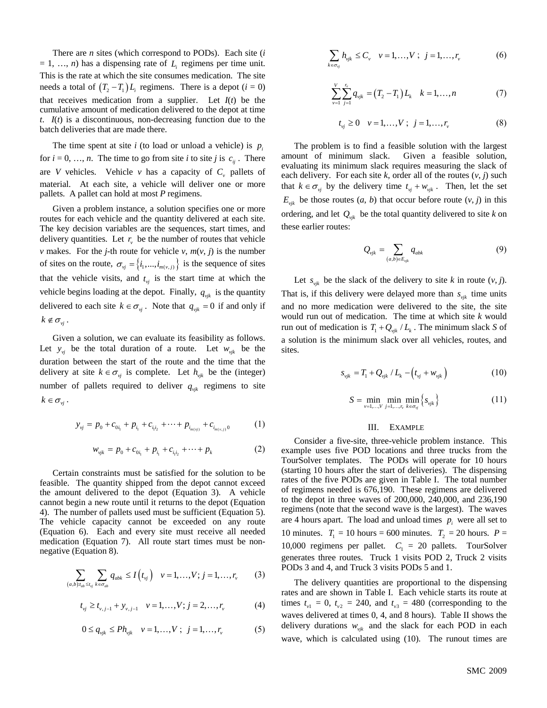There are *n* sites (which correspond to PODs). Each site (*i*  $= 1, \ldots, n$ ) has a dispensing rate of  $L<sub>i</sub>$  regimens per time unit. This is the rate at which the site consumes medication. The site needs a total of  $(T, -T_1)L_i$  regimens. There is a depot  $(i = 0)$ that receives medication from a supplier. Let  $I(t)$  be the cumulative amount of medication delivered to the depot at time *t*. *I*(*t*) is a discontinuous, non-decreasing function due to the batch deliveries that are made there.

The time spent at site *i* (to load or unload a vehicle) is  $p_i$ for  $i = 0, \ldots, n$ . The time to go from site *i* to site *j* is  $c_{ij}$ . There are *V* vehicles. Vehicle *v* has a capacity of  $C_v$  pallets of material. At each site, a vehicle will deliver one or more pallets. A pallet can hold at most *P* regimens.

Given a problem instance, a solution specifies one or more routes for each vehicle and the quantity delivered at each site. The key decision variables are the sequences, start times, and delivery quantities. Let  $r<sub>v</sub>$  be the number of routes that vehicle *v* makes. For the *j*-th route for vehicle *v*,  $m(v, j)$  is the number of sites on the route,  $\sigma_{vj} = \{i_1, ..., i_{m(v,j)}\}$  is the sequence of sites that the vehicle visits, and  $t_{yi}$  is the start time at which the vehicle begins loading at the depot. Finally,  $q_{ijk}$  is the quantity delivered to each site  $k \in \sigma_{v_i}$ . Note that  $q_{vjk} = 0$  if and only if  $k \notin \sigma_{vi}$ .

Given a solution, we can evaluate its feasibility as follows. Let  $y_{vi}$  be the total duration of a route. Let  $w_{vik}$  be the duration between the start of the route and the time that the delivery at site  $k \in \sigma_{vi}$  is complete. Let  $h_{vik}$  be the (integer) number of pallets required to deliver  $q_{ijk}$  regimens to site  $k \in \sigma_{vi}$ .

$$
y_{vj} = p_0 + c_{0i_1} + p_{i_1} + c_{i_1i_2} + \dots + p_{i_{m(v)} + c_{i_{m(v,j)}}0}
$$
 (1)

$$
w_{vjk} = p_0 + c_{0i_1} + p_{i_1} + c_{i_1i_2} + \dots + p_k
$$
 (2)

Certain constraints must be satisfied for the solution to be feasible. The quantity shipped from the depot cannot exceed the amount delivered to the depot (Equation 3). A vehicle cannot begin a new route until it returns to the depot (Equation 4). The number of pallets used must be sufficient (Equation 5). The vehicle capacity cannot be exceeded on any route (Equation 6). Each and every site must receive all needed medication (Equation 7). All route start times must be nonnegative (Equation 8).

$$
\sum_{(a,b):t_{ab}\leq t_{vj}}\sum_{k\in\sigma_{ab}}q_{abk}\leq I(t_{vj})\quad v=1,\ldots,V;\,j=1,\ldots,r_v\qquad(3)
$$

$$
t_{vj} \ge t_{v,j-1} + y_{v,j-1} \quad v = 1, \dots, V; \ j = 2, \dots, r_v \tag{4}
$$

$$
0 \le q_{vjk} \le Ph_{vjk} \quad v = 1, ..., V \; ; \; j = 1, ..., r_{v}
$$
 (5)

$$
\sum_{k \in \sigma_{\nu j}} h_{\nu j k} \le C_{\nu} \quad \nu = 1, ..., V \; ; \; j = 1, ..., r_{\nu} \tag{6}
$$

$$
\sum_{\nu=1}^{V} \sum_{j=1}^{r_{\nu}} q_{\nu j k} = (T_2 - T_1) L_k \quad k = 1, ..., n \tag{7}
$$

$$
t_{ij} \ge 0 \quad v = 1, ..., V \; ; \; j = 1, ..., r_v \tag{8}
$$

The problem is to find a feasible solution with the largest amount of minimum slack. Given a feasible solution, evaluating its minimum slack requires measuring the slack of each delivery. For each site  $k$ , order all of the routes  $(v, j)$  such that  $k \in \sigma_{vi}$  by the delivery time  $t_{vj} + w_{vi}$ . Then, let the set  $E_{\text{vjk}}$  be those routes  $(a, b)$  that occur before route  $(v, j)$  in this ordering, and let  $Q_{\nu j k}$  be the total quantity delivered to site *k* on these earlier routes:

$$
Q_{vjk} = \sum_{(a,b)\in E_{vjk}} q_{abk} \tag{9}
$$

Let  $s_{vjk}$  be the slack of the delivery to site *k* in route  $(v, j)$ . That is, if this delivery were delayed more than  $s_{vik}$  time units and no more medication were delivered to the site, the site would run out of medication. The time at which site *k* would run out of medication is  $T_1 + Q_{ijk} / L_k$ . The minimum slack *S* of a solution is the minimum slack over all vehicles, routes, and sites.

$$
s_{\nu jk} = T_1 + Q_{\nu jk} / L_k - (t_{\nu j} + w_{\nu jk})
$$
 (10)

$$
S = \min_{\mathbf{v} = 1,\dots,V} \min_{j=1,\dots,r_v} \min_{k \in \sigma_{\mathbf{v}j}} \left\{ s_{\mathbf{v}jk} \right\} \tag{11}
$$

### III. EXAMPLE

Consider a five-site, three-vehicle problem instance. This example uses five POD locations and three trucks from the TourSolver templates. The PODs will operate for 10 hours (starting 10 hours after the start of deliveries). The dispensing rates of the five PODs are given in Table I. The total number of regimens needed is 676,190. These regimens are delivered to the depot in three waves of 200,000, 240,000, and 236,190 regimens (note that the second wave is the largest). The waves are 4 hours apart. The load and unload times  $p_i$  were all set to 10 minutes.  $T_1 = 10$  hours = 600 minutes.  $T_2 = 20$  hours.  $P =$ 10,000 regimens per pallet.  $C_1 = 20$  pallets. TourSolver generates three routes. Truck 1 visits POD 2, Truck 2 visits PODs 3 and 4, and Truck 3 visits PODs 5 and 1.

The delivery quantities are proportional to the dispensing rates and are shown in Table I. Each vehicle starts its route at times  $t_{v1} = 0$ ,  $t_{v2} = 240$ , and  $t_{v3} = 480$  (corresponding to the waves delivered at times 0, 4, and 8 hours). Table II shows the delivery durations  $w_{vik}$  and the slack for each POD in each wave, which is calculated using (10). The runout times are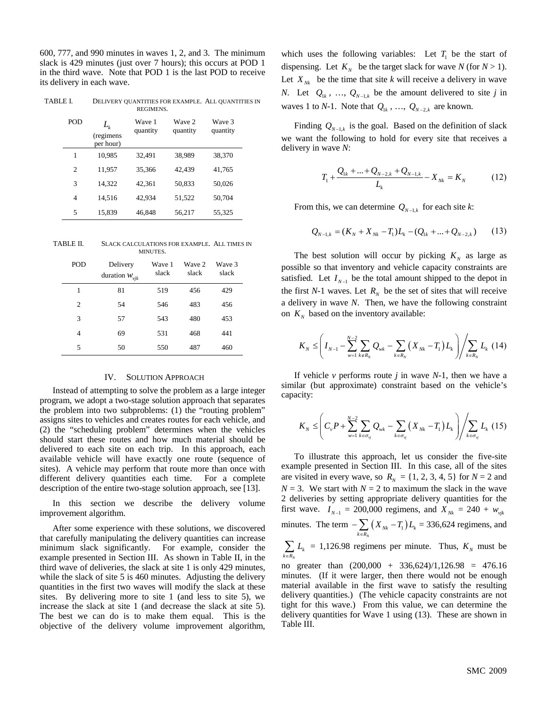600, 777, and 990 minutes in waves 1, 2, and 3. The minimum slack is 429 minutes (just over 7 hours); this occurs at POD 1 in the third wave. Note that POD 1 is the last POD to receive its delivery in each wave.

TABLE I. DELIVERY QUANTITIES FOR EXAMPLE. ALL QUANTITIES IN REGIMENS.

| POD            | $L_{\nu}$<br>(regimens<br>per hour) | Wave 1<br>quantity | Wave 2<br>quantity | Wave 3<br>quantity |
|----------------|-------------------------------------|--------------------|--------------------|--------------------|
| 1              | 10.985                              | 32,491             | 38,989             | 38,370             |
| $\overline{c}$ | 11.957                              | 35,366             | 42.439             | 41,765             |
| 3              | 14.322                              | 42.361             | 50.833             | 50.026             |
| 4              | 14.516                              | 42,934             | 51,522             | 50,704             |
| 5              | 15,839                              | 46,848             | 56,217             | 55,325             |

TABLE II. SLACK CALCULATIONS FOR EXAMPLE. ALL TIMES IN MINUTES.

| POD | Delivery<br>duration $W_{vjk}$ | Wave 1<br>slack | Wave 2<br>slack | Wave 3<br>slack |
|-----|--------------------------------|-----------------|-----------------|-----------------|
| 1   | 81                             | 519             | 456             | 429             |
| 2   | 54                             | 546             | 483             | 456             |
| 3   | 57                             | 543             | 480             | 453             |
| 4   | 69                             | 531             | 468             | 441             |
| 5   | 50                             | 550             | 487             | 460             |

# IV. SOLUTION APPROACH

Instead of attempting to solve the problem as a large integer program, we adopt a two-stage solution approach that separates the problem into two subproblems: (1) the "routing problem" assigns sites to vehicles and creates routes for each vehicle, and (2) the "scheduling problem" determines when the vehicles should start these routes and how much material should be delivered to each site on each trip. In this approach, each available vehicle will have exactly one route (sequence of sites). A vehicle may perform that route more than once with different delivery quantities each time. For a complete description of the entire two-stage solution approach, see [13].

In this section we describe the delivery volume improvement algorithm.

After some experience with these solutions, we discovered that carefully manipulating the delivery quantities can increase minimum slack significantly. For example, consider the example presented in Section III. As shown in Table II, in the third wave of deliveries, the slack at site 1 is only 429 minutes, while the slack of site 5 is 460 minutes. Adjusting the delivery quantities in the first two waves will modify the slack at these sites. By delivering more to site 1 (and less to site 5), we increase the slack at site 1 (and decrease the slack at site 5). The best we can do is to make them equal. This is the objective of the delivery volume improvement algorithm, which uses the following variables: Let  $T<sub>1</sub>$  be the start of dispensing. Let  $K_N$  be the target slack for wave *N* (for  $N > 1$ ). Let  $X_{Nk}$  be the time that site *k* will receive a delivery in wave *N*. Let  $Q_{1k}$ , …,  $Q_{N-1,k}$  be the amount delivered to site *j* in waves 1 to *N*-1. Note that  $Q_{1k}$ , …,  $Q_{N-2,k}$  are known.

Finding  $Q_{N-1,k}$  is the goal. Based on the definition of slack we want the following to hold for every site that receives a delivery in wave *N*:

$$
T_1 + \frac{Q_{1k} + \dots + Q_{N-2,k} + Q_{N-1,k}}{L_k} - X_{Nk} = K_N \tag{12}
$$

From this, we can determine  $Q_{N-1,k}$  for each site *k*:

$$
Q_{N-1,k} = (K_N + X_{Nk} - T_1)L_k - (Q_{1k} + ... + Q_{N-2,k})
$$
 (13)

The best solution will occur by picking  $K_N$  as large as possible so that inventory and vehicle capacity constraints are satisfied. Let  $I_{N-1}$  be the total amount shipped to the depot in the first *N*-1 waves. Let  $R_N$  be the set of sites that will receive a delivery in wave *N*. Then, we have the following constraint on  $K_N$  based on the inventory available:

$$
K_N \leq \left(I_{N-1} - \sum_{w=1}^{N-2} \sum_{k \in R_N} Q_{wk} - \sum_{k \in R_N} (X_{Nk} - T_1) L_k \right) / \sum_{k \in R_N} L_k \tag{14}
$$

If vehicle *v* performs route *j* in wave *N*-1, then we have a similar (but approximate) constraint based on the vehicle's capacity:

$$
K_{N} \leq \left(C_{v}P + \sum_{w=1}^{N-2} \sum_{k \in \sigma_{vj}} Q_{wk} - \sum_{k \in \sigma_{vj}} (X_{Nk} - T_{1}) L_{k}\right) / \sum_{k \in \sigma_{vj}} L_{k}
$$
(15)

To illustrate this approach, let us consider the five-site example presented in Section III. In this case, all of the sites are visited in every wave, so  $R_N = \{1, 2, 3, 4, 5\}$  for  $N = 2$  and  $N = 3$ . We start with  $N = 2$  to maximum the slack in the wave 2 deliveries by setting appropriate delivery quantities for the first wave.  $I_{N-1} = 200,000$  regimens, and  $X_{Nk} = 240 + w_{vik}$ minutes. The term  $-\sum_{k \in R_N} (X_{Nk} - T_1) L_k$  $X_{_{Nk}}-T_{_{1}})L$  $-\sum_{k \in R_N} (X_{Nk} - T_1) L_k = 336,624$  regimens, and

 $\sum_{k \in R_N} L_k$ *L*  $\sum_{k \in R_N} L_k = 1,126.98$  regimens per minute. Thus,  $K_N$  must be

no greater than (200,000 + 336,624)/1,126.98 = 476.16 minutes. (If it were larger, then there would not be enough material available in the first wave to satisfy the resulting delivery quantities.) (The vehicle capacity constraints are not tight for this wave.) From this value, we can determine the delivery quantities for Wave 1 using (13). These are shown in Table III.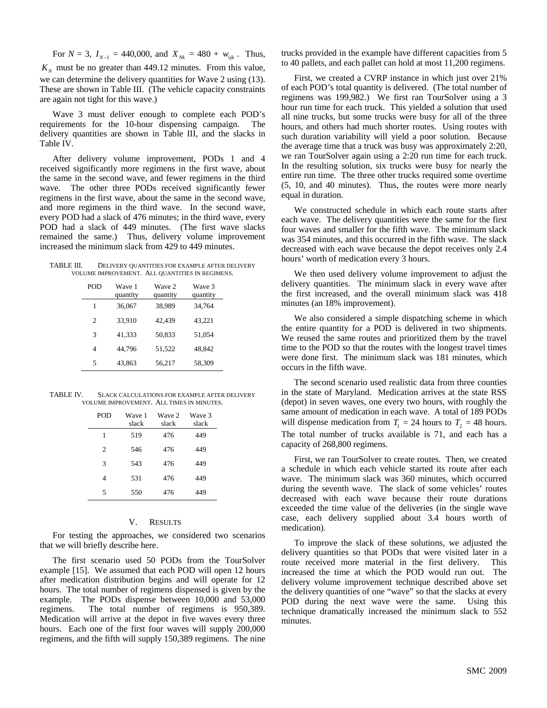For  $N = 3$ ,  $I_{N-1} = 440,000$ , and  $X_{Nk} = 480 + w_{vik}$ . Thus,  $K<sub>N</sub>$  must be no greater than 449.12 minutes. From this value, we can determine the delivery quantities for Wave 2 using (13). These are shown in Table III. (The vehicle capacity constraints are again not tight for this wave.)

Wave 3 must deliver enough to complete each POD's requirements for the 10-hour dispensing campaign. The delivery quantities are shown in Table III, and the slacks in Table IV.

After delivery volume improvement, PODs 1 and 4 received significantly more regimens in the first wave, about the same in the second wave, and fewer regimens in the third wave. The other three PODs received significantly fewer regimens in the first wave, about the same in the second wave, and more regimens in the third wave. In the second wave, every POD had a slack of 476 minutes; in the third wave, every POD had a slack of 449 minutes. (The first wave slacks remained the same.) Thus, delivery volume improvement increased the minimum slack from 429 to 449 minutes.

TABLE III. DELIVERY QUANTITIES FOR EXAMPLE AFTER DELIVERY VOLUME IMPROVEMENT. ALL QUANTITIES IN REGIMENS.

| <b>POD</b>     | Wave 1<br>quantity | Wave 2<br>quantity | Wave 3<br>quantity |
|----------------|--------------------|--------------------|--------------------|
| 1              | 36,067             | 38,989             | 34.764             |
| $\overline{c}$ | 33.910             | 42.439             | 43.221             |
| 3              | 41,333             | 50,833             | 51,054             |
| 4              | 44.796             | 51,522             | 48.842             |
| 5              | 43,863             | 56,217             | 58,309             |

TABLE IV. SLACK CALCULATIONS FOR EXAMPLE AFTER DELIVERY VOLUME IMPROVEMENT. ALL TIMES IN MINUTES.

| <b>POD</b>                  | Wave 1<br>slack | Wave 2<br>slack | Wave 3<br>slack |
|-----------------------------|-----------------|-----------------|-----------------|
| 1                           | 519             | 476             | 449             |
| $\mathcal{D}_{\mathcal{L}}$ | 546             | 476             | 449             |
| 3                           | 543             | 476             | 449             |
| 4                           | 531             | 476             | 449             |
| 5                           | 550             | 476             | 449             |

# V. RESULTS

For testing the approaches, we considered two scenarios that we will briefly describe here.

The first scenario used 50 PODs from the TourSolver example [15]. We assumed that each POD will open 12 hours after medication distribution begins and will operate for 12 hours. The total number of regimens dispensed is given by the example. The PODs dispense between 10,000 and 53,000 regimens. The total number of regimens is 950,389. Medication will arrive at the depot in five waves every three hours. Each one of the first four waves will supply 200,000 regimens, and the fifth will supply 150,389 regimens. The nine trucks provided in the example have different capacities from 5 to 40 pallets, and each pallet can hold at most 11,200 regimens.

First, we created a CVRP instance in which just over 21% of each POD's total quantity is delivered. (The total number of regimens was 199,982.) We first ran TourSolver using a 3 hour run time for each truck. This yielded a solution that used all nine trucks, but some trucks were busy for all of the three hours, and others had much shorter routes. Using routes with such duration variability will yield a poor solution. Because the average time that a truck was busy was approximately 2:20, we ran TourSolver again using a 2:20 run time for each truck. In the resulting solution, six trucks were busy for nearly the entire run time. The three other trucks required some overtime (5, 10, and 40 minutes). Thus, the routes were more nearly equal in duration.

We constructed schedule in which each route starts after each wave. The delivery quantities were the same for the first four waves and smaller for the fifth wave. The minimum slack was 354 minutes, and this occurred in the fifth wave. The slack decreased with each wave because the depot receives only 2.4 hours' worth of medication every 3 hours.

We then used delivery volume improvement to adjust the delivery quantities. The minimum slack in every wave after the first increased, and the overall minimum slack was 418 minutes (an 18% improvement).

We also considered a simple dispatching scheme in which the entire quantity for a POD is delivered in two shipments. We reused the same routes and prioritized them by the travel time to the POD so that the routes with the longest travel times were done first. The minimum slack was 181 minutes, which occurs in the fifth wave.

The second scenario used realistic data from three counties in the state of Maryland. Medication arrives at the state RSS (depot) in seven waves, one every two hours, with roughly the same amount of medication in each wave. A total of 189 PODs will dispense medication from  $T_1 = 24$  hours to  $T_2 = 48$  hours. The total number of trucks available is 71, and each has a capacity of 268,800 regimens.

First, we ran TourSolver to create routes. Then, we created a schedule in which each vehicle started its route after each wave. The minimum slack was 360 minutes, which occurred during the seventh wave. The slack of some vehicles' routes decreased with each wave because their route durations exceeded the time value of the deliveries (in the single wave case, each delivery supplied about 3.4 hours worth of medication).

To improve the slack of these solutions, we adjusted the delivery quantities so that PODs that were visited later in a route received more material in the first delivery. This increased the time at which the POD would run out. The delivery volume improvement technique described above set the delivery quantities of one "wave" so that the slacks at every POD during the next wave were the same. Using this technique dramatically increased the minimum slack to 552 minutes.